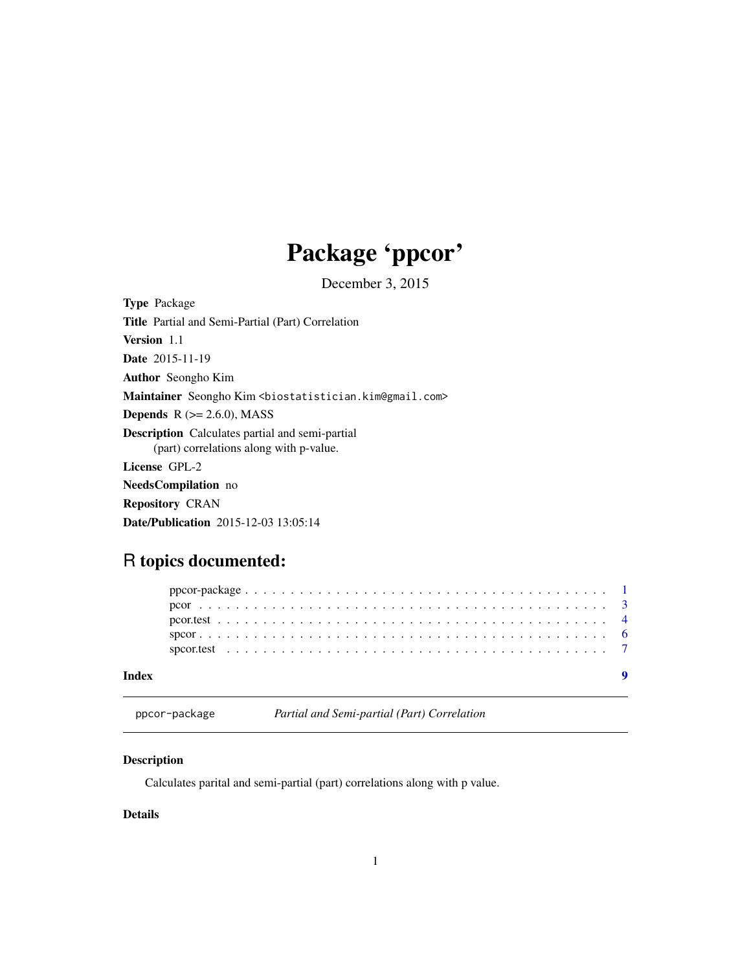# Package 'ppcor'

December 3, 2015

<span id="page-0-0"></span>Type Package Title Partial and Semi-Partial (Part) Correlation Version 1.1 Date 2015-11-19 Author Seongho Kim Maintainer Seongho Kim <br/>biostatistician.kim@gmail.com> **Depends**  $R$  ( $>= 2.6.0$ ), MASS Description Calculates partial and semi-partial (part) correlations along with p-value. License GPL-2 NeedsCompilation no Repository CRAN

# Date/Publication 2015-12-03 13:05:14

## R topics documented:

| Index |  |
|-------|--|
|       |  |
|       |  |
|       |  |
|       |  |
|       |  |

ppcor-package *Partial and Semi-partial (Part) Correlation*

#### Description

Calculates parital and semi-partial (part) correlations along with p value.

## Details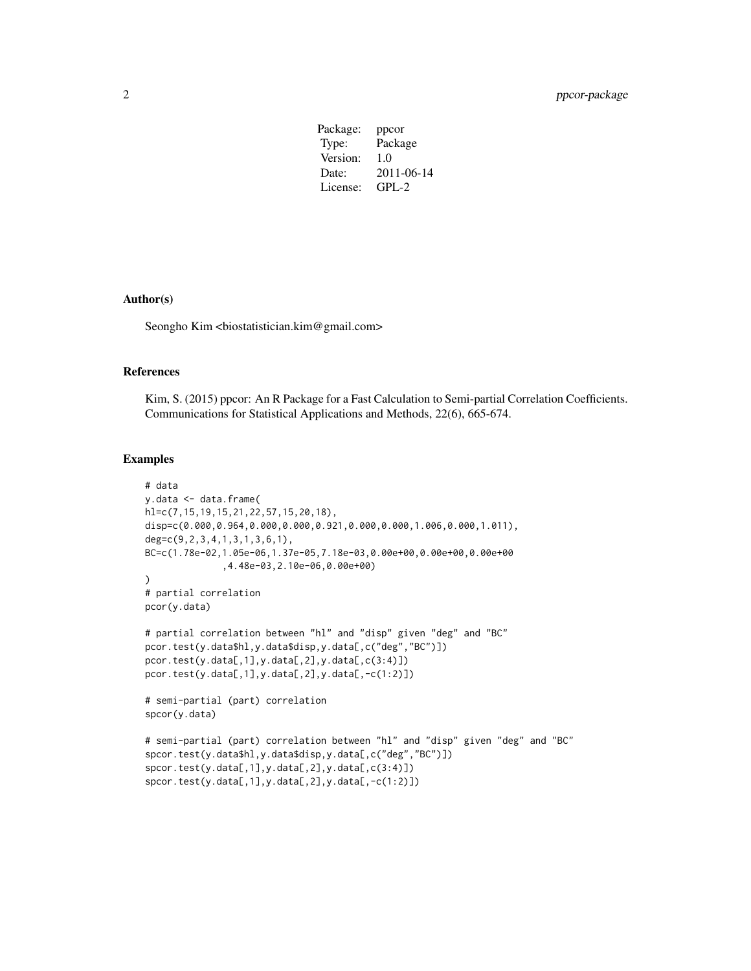Package: ppcor Type: Package Version: 1.0 Date: 2011-06-14 License: GPL-2

#### Author(s)

Seongho Kim <br/> <br/> <br/> <br/> <br/>Seongho Kim <br/><br/> $\leq$ pmail.com>

#### References

Kim, S. (2015) ppcor: An R Package for a Fast Calculation to Semi-partial Correlation Coefficients. Communications for Statistical Applications and Methods, 22(6), 665-674.

#### Examples

```
# data
y.data <- data.frame(
hl=c(7,15,19,15,21,22,57,15,20,18),
disp=c(0.000,0.964,0.000,0.000,0.921,0.000,0.000,1.006,0.000,1.011),
deg=c(9,2,3,4,1,3,1,3,6,1),
BC=c(1.78e-02,1.05e-06,1.37e-05,7.18e-03,0.00e+00,0.00e+00,0.00e+00
              ,4.48e-03,2.10e-06,0.00e+00)
\mathcal{L}# partial correlation
pcor(y.data)
# partial correlation between "hl" and "disp" given "deg" and "BC"
pcor.test(y.data$hl,y.data$disp,y.data[,c("deg","BC")])
pcor.test(y.data[,1],y.data[,2],y.data[,c(3:4)])
pcor.test(y.data[,1],y.data[,2],y.data[,-c(1:2)])
# semi-partial (part) correlation
spcor(y.data)
# semi-partial (part) correlation between "hl" and "disp" given "deg" and "BC"
spcor.test(y.data$hl,y.data$disp,y.data[,c("deg","BC")])
spcor.test(y.data[,1],y.data[,2],y.data[,c(3:4)])
spcor.test(y.data[,1],y.data[,2],y.data[,-c(1:2)])
```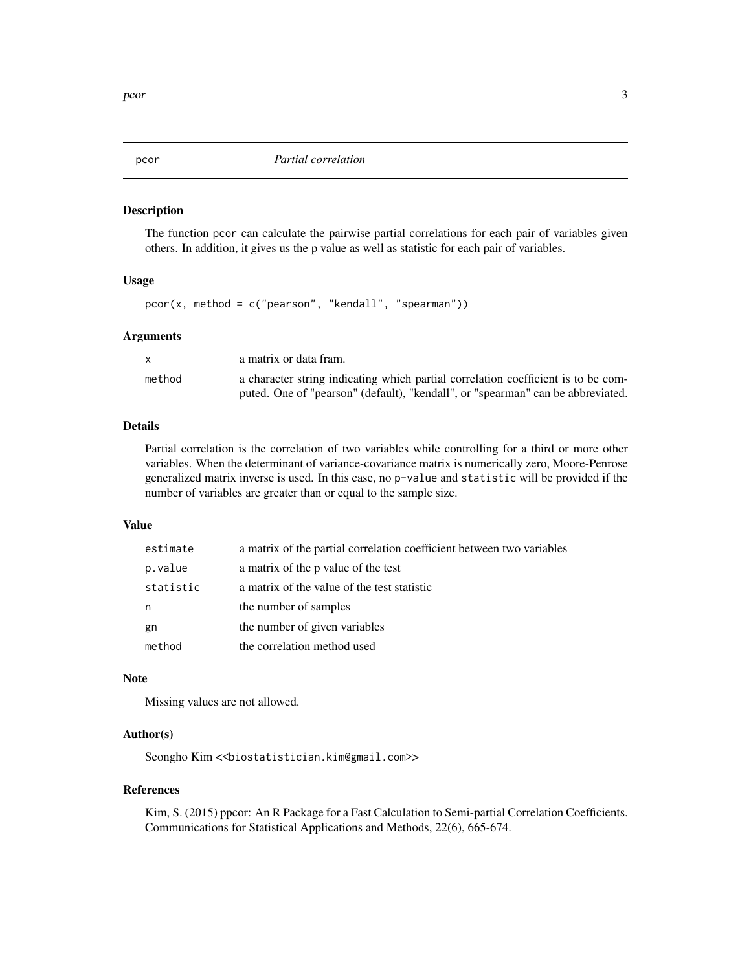#### <span id="page-2-1"></span><span id="page-2-0"></span>Description

The function pcor can calculate the pairwise partial correlations for each pair of variables given others. In addition, it gives us the p value as well as statistic for each pair of variables.

#### Usage

pcor(x, method = c("pearson", "kendall", "spearman"))

#### Arguments

|        | a matrix or data fram.                                                            |
|--------|-----------------------------------------------------------------------------------|
| method | a character string indicating which partial correlation coefficient is to be com- |
|        | puted. One of "pearson" (default), "kendall", or "spearman" can be abbreviated.   |

## Details

Partial correlation is the correlation of two variables while controlling for a third or more other variables. When the determinant of variance-covariance matrix is numerically zero, Moore-Penrose generalized matrix inverse is used. In this case, no p-value and statistic will be provided if the number of variables are greater than or equal to the sample size.

### Value

| estimate  | a matrix of the partial correlation coefficient between two variables |
|-----------|-----------------------------------------------------------------------|
| p.value   | a matrix of the p value of the test                                   |
| statistic | a matrix of the value of the test statistic                           |
| n         | the number of samples                                                 |
| gn        | the number of given variables                                         |
| method    | the correlation method used                                           |

#### Note

Missing values are not allowed.

#### Author(s)

Seongho Kim << biostatistician.kim@gmail.com>>

#### References

Kim, S. (2015) ppcor: An R Package for a Fast Calculation to Semi-partial Correlation Coefficients. Communications for Statistical Applications and Methods, 22(6), 665-674.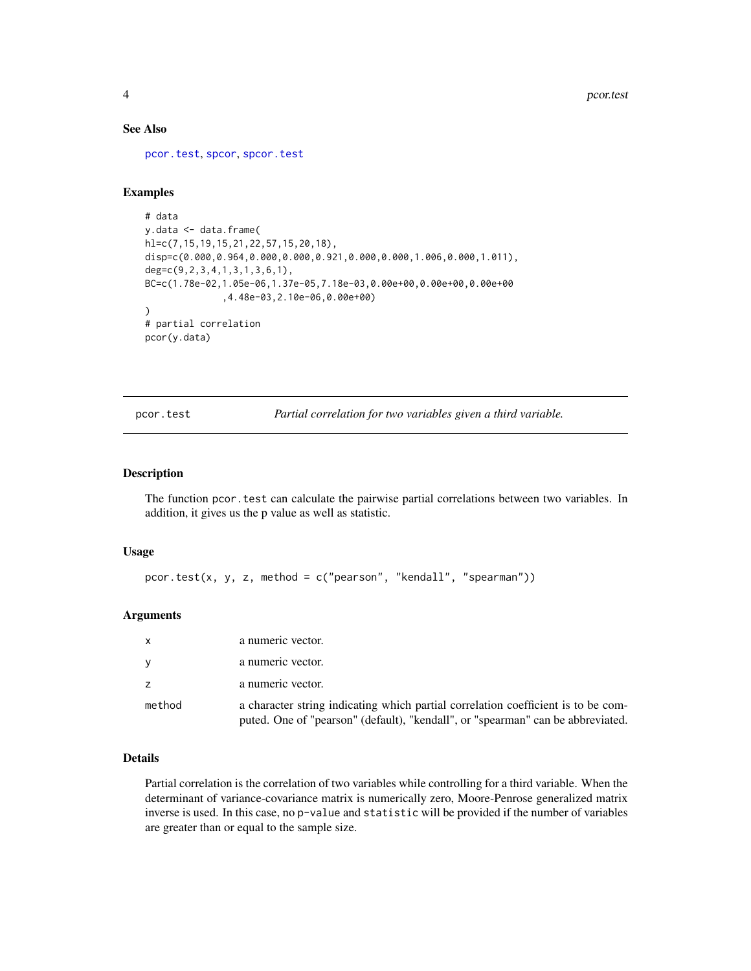#### See Also

[pcor.test](#page-3-1), [spcor](#page-5-1), [spcor.test](#page-6-1)

#### Examples

```
# data
y.data <- data.frame(
hl=c(7,15,19,15,21,22,57,15,20,18),
disp=c(0.000,0.964,0.000,0.000,0.921,0.000,0.000,1.006,0.000,1.011),
deg=c(9,2,3,4,1,3,1,3,6,1),
BC=c(1.78e-02,1.05e-06,1.37e-05,7.18e-03,0.00e+00,0.00e+00,0.00e+00
              ,4.48e-03,2.10e-06,0.00e+00)
)
# partial correlation
pcor(y.data)
```
<span id="page-3-1"></span>pcor.test *Partial correlation for two variables given a third variable.*

#### Description

The function pcor.test can calculate the pairwise partial correlations between two variables. In addition, it gives us the p value as well as statistic.

#### Usage

```
pcor.test(x, y, z, method = c("pearson", "kendall", "spearman"))
```
#### Arguments

| X      | a numeric vector.                                                                                                                                                    |
|--------|----------------------------------------------------------------------------------------------------------------------------------------------------------------------|
| y      | a numeric vector.                                                                                                                                                    |
| z      | a numeric vector.                                                                                                                                                    |
| method | a character string indicating which partial correlation coefficient is to be com-<br>puted. One of "pearson" (default), "kendall", or "spearman" can be abbreviated. |

#### Details

Partial correlation is the correlation of two variables while controlling for a third variable. When the determinant of variance-covariance matrix is numerically zero, Moore-Penrose generalized matrix inverse is used. In this case, no p-value and statistic will be provided if the number of variables are greater than or equal to the sample size.

<span id="page-3-0"></span>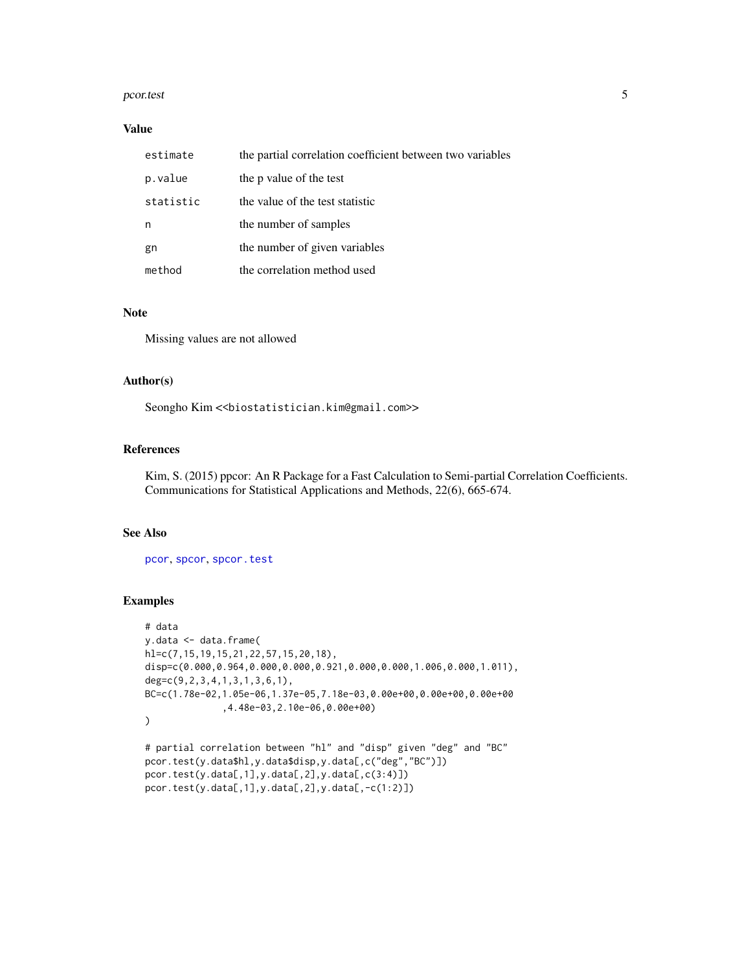#### <span id="page-4-0"></span>pcor.test 5

#### Value

| estimate  | the partial correlation coefficient between two variables |
|-----------|-----------------------------------------------------------|
| p.value   | the p value of the test                                   |
| statistic | the value of the test statistic                           |
| n         | the number of samples                                     |
| gn        | the number of given variables                             |
| method    | the correlation method used                               |

#### Note

Missing values are not allowed

#### Author(s)

Seongho Kim << biostatistician.kim@gmail.com>>

#### References

Kim, S. (2015) ppcor: An R Package for a Fast Calculation to Semi-partial Correlation Coefficients. Communications for Statistical Applications and Methods, 22(6), 665-674.

#### See Also

[pcor](#page-2-1), [spcor](#page-5-1), [spcor.test](#page-6-1)

### Examples

```
# data
y.data <- data.frame(
hl=c(7,15,19,15,21,22,57,15,20,18),
disp=c(0.000,0.964,0.000,0.000,0.921,0.000,0.000,1.006,0.000,1.011),
deg=c(9,2,3,4,1,3,1,3,6,1),
BC=c(1.78e-02,1.05e-06,1.37e-05,7.18e-03,0.00e+00,0.00e+00,0.00e+00
              ,4.48e-03,2.10e-06,0.00e+00)
)
# partial correlation between "hl" and "disp" given "deg" and "BC"
pcor.test(y.data$hl,y.data$disp,y.data[,c("deg","BC")])
pcor.test(y.data[,1],y.data[,2],y.data[,c(3:4)])
pcor.test(y.data[,1],y.data[,2],y.data[,-c(1:2)])
```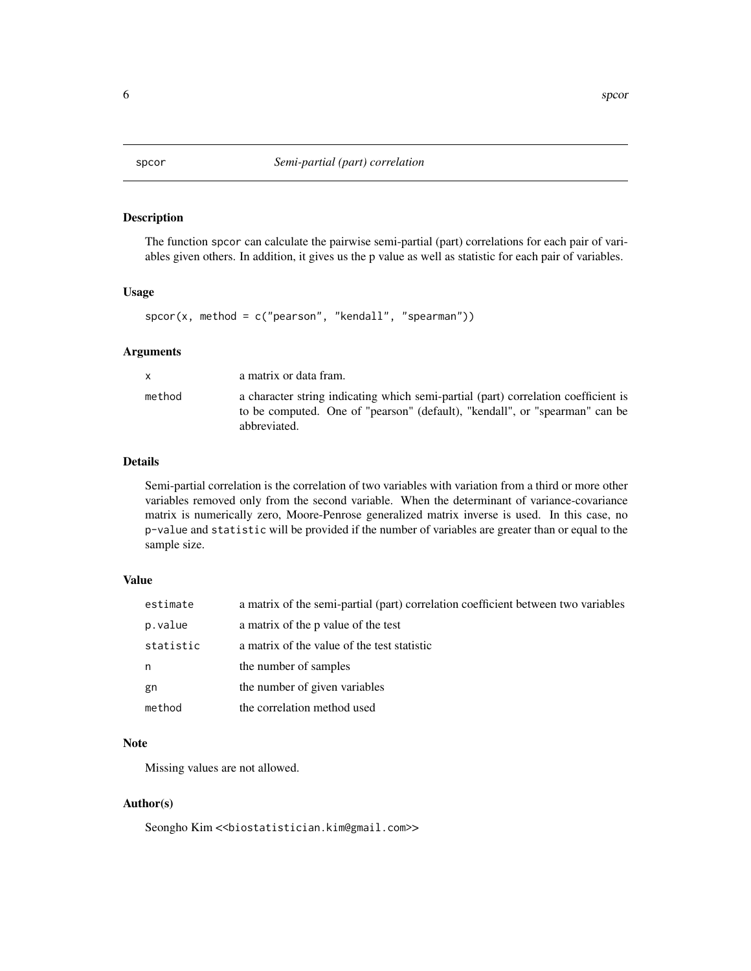#### Description

The function spcor can calculate the pairwise semi-partial (part) correlations for each pair of variables given others. In addition, it gives us the p value as well as statistic for each pair of variables.

#### Usage

```
spcor(x, method = c("pearson", "kendall", "spearman"))
```
#### Arguments

| $\mathsf{x}$ | a matrix or data fram.                                                                                                                                                            |
|--------------|-----------------------------------------------------------------------------------------------------------------------------------------------------------------------------------|
| method       | a character string indicating which semi-partial (part) correlation coefficient is<br>to be computed. One of "pearson" (default), "kendall", or "spearman" can be<br>abbreviated. |

#### Details

Semi-partial correlation is the correlation of two variables with variation from a third or more other variables removed only from the second variable. When the determinant of variance-covariance matrix is numerically zero, Moore-Penrose generalized matrix inverse is used. In this case, no p-value and statistic will be provided if the number of variables are greater than or equal to the sample size.

#### Value

| estimate  | a matrix of the semi-partial (part) correlation coefficient between two variables |
|-----------|-----------------------------------------------------------------------------------|
| p.value   | a matrix of the p value of the test                                               |
| statistic | a matrix of the value of the test statistic                                       |
| n         | the number of samples                                                             |
| gn        | the number of given variables                                                     |
| method    | the correlation method used                                                       |

#### Note

Missing values are not allowed.

## Author(s)

Seongho Kim << biostatistician.kim@gmail.com>>

<span id="page-5-1"></span><span id="page-5-0"></span>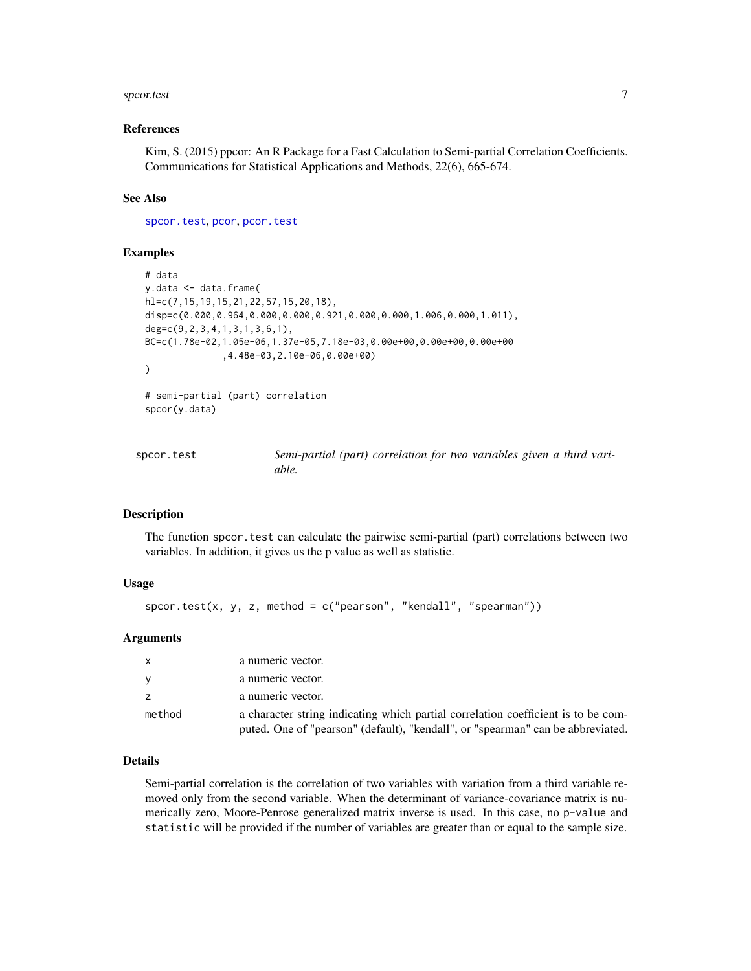#### <span id="page-6-0"></span>spcor.test 7

#### References

Kim, S. (2015) ppcor: An R Package for a Fast Calculation to Semi-partial Correlation Coefficients. Communications for Statistical Applications and Methods, 22(6), 665-674.

#### See Also

[spcor.test](#page-6-1), [pcor](#page-2-1), [pcor.test](#page-3-1)

#### Examples

```
# data
y.data <- data.frame(
hl=c(7,15,19,15,21,22,57,15,20,18),
disp=c(0.000,0.964,0.000,0.000,0.921,0.000,0.000,1.006,0.000,1.011),
deg=c(9,2,3,4,1,3,1,3,6,1),
BC=c(1.78e-02,1.05e-06,1.37e-05,7.18e-03,0.00e+00,0.00e+00,0.00e+00
              ,4.48e-03,2.10e-06,0.00e+00)
)
# semi-partial (part) correlation
spcor(y.data)
```
<span id="page-6-1"></span>

| spcor.test | Semi-partial (part) correlation for two variables given a third vari- |
|------------|-----------------------------------------------------------------------|
|            | able.                                                                 |

#### **Description**

The function spcor.test can calculate the pairwise semi-partial (part) correlations between two variables. In addition, it gives us the p value as well as statistic.

#### Usage

```
spcor.test(x, y, z, method = c("pearson", "kendall", "spearman"))
```
#### Arguments

| x.     | a numeric vector.                                                                                                                                                    |
|--------|----------------------------------------------------------------------------------------------------------------------------------------------------------------------|
| V      | a numeric vector.                                                                                                                                                    |
| Z.     | a numeric vector.                                                                                                                                                    |
| method | a character string indicating which partial correlation coefficient is to be com-<br>puted. One of "pearson" (default), "kendall", or "spearman" can be abbreviated. |

#### Details

Semi-partial correlation is the correlation of two variables with variation from a third variable removed only from the second variable. When the determinant of variance-covariance matrix is numerically zero, Moore-Penrose generalized matrix inverse is used. In this case, no p-value and statistic will be provided if the number of variables are greater than or equal to the sample size.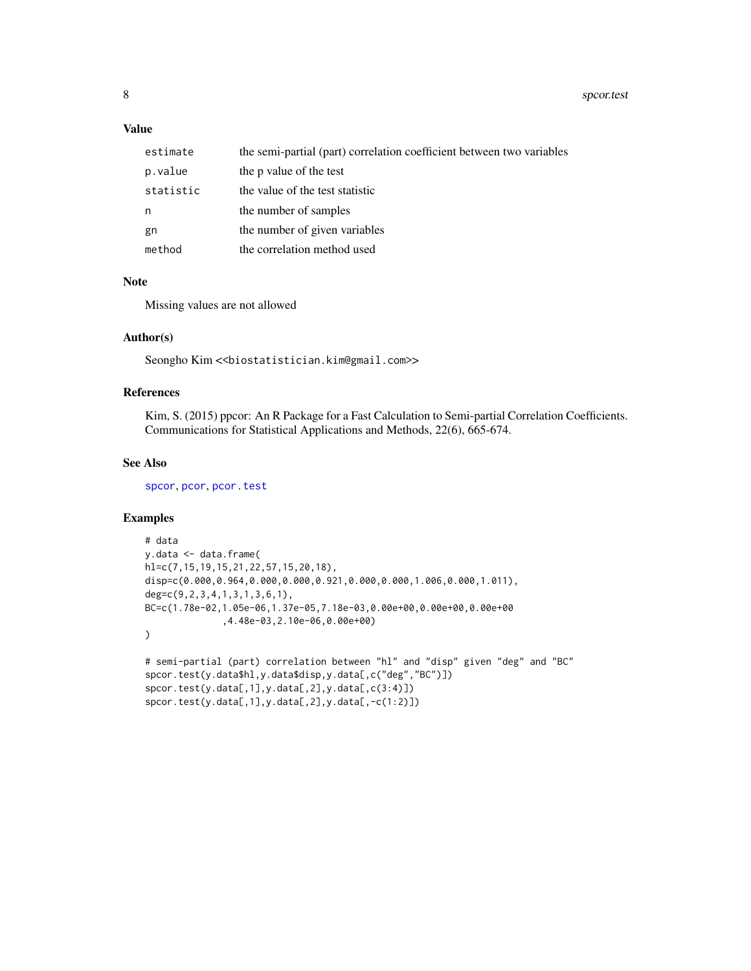<span id="page-7-0"></span>8 spcor.test and the space of the space of the space of the space of the space of the space of the space of the space of the space of the space of the space of the space of the space of the space of the space of the space

#### Value

| estimate  | the semi-partial (part) correlation coefficient between two variables |
|-----------|-----------------------------------------------------------------------|
| p.value   | the p value of the test                                               |
| statistic | the value of the test statistic                                       |
| n         | the number of samples                                                 |
| gn        | the number of given variables                                         |
| method    | the correlation method used                                           |

#### Note

Missing values are not allowed

#### Author(s)

Seongho Kim << biostatistician.kim@gmail.com>>

### References

Kim, S. (2015) ppcor: An R Package for a Fast Calculation to Semi-partial Correlation Coefficients. Communications for Statistical Applications and Methods, 22(6), 665-674.

#### See Also

[spcor](#page-5-1), [pcor](#page-2-1), [pcor.test](#page-3-1)

### Examples

```
# data
y.data <- data.frame(
hl=c(7,15,19,15,21,22,57,15,20,18),
disp=c(0.000,0.964,0.000,0.000,0.921,0.000,0.000,1.006,0.000,1.011),
deg=c(9,2,3,4,1,3,1,3,6,1),
BC=c(1.78e-02,1.05e-06,1.37e-05,7.18e-03,0.00e+00,0.00e+00,0.00e+00
              ,4.48e-03,2.10e-06,0.00e+00)
\mathcal{L}# semi-partial (part) correlation between "hl" and "disp" given "deg" and "BC"
spcor.test(y.data$hl,y.data$disp,y.data[,c("deg","BC")])
spcor.test(y.data[,1],y.data[,2],y.data[,c(3:4)])
spcor.test(y.data[,1],y.data[,2],y.data[,-c(1:2)])
```